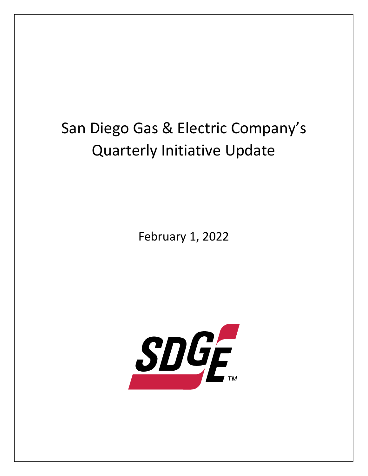## San Diego Gas & Electric Company's Quarterly Initiative Update

February 1, 2022